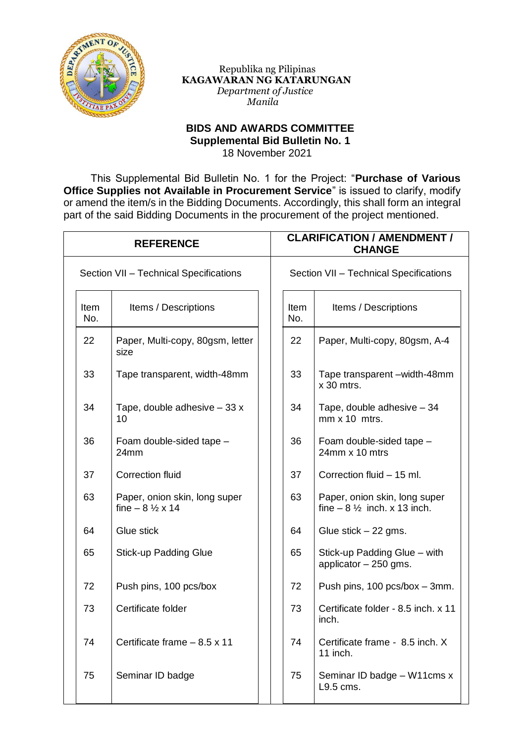

 Republika ng Pilipinas  **KAGAWARAN NG KATARUNGAN**  *Department of Justice Manila*

## **BIDS AND AWARDS COMMITTEE Supplemental Bid Bulletin No. 1** 18 November 2021

This Supplemental Bid Bulletin No. 1 for the Project: "**Purchase of Various Office Supplies not Available in Procurement Service**" is issued to clarify, modify or amend the item/s in the Bidding Documents. Accordingly, this shall form an integral part of the said Bidding Documents in the procurement of the project mentioned.

| <b>REFERENCE</b>                       |                                                                 |  | <b>CLARIFICATION / AMENDMENT /</b><br><b>CHANGE</b> |                                                                        |  |
|----------------------------------------|-----------------------------------------------------------------|--|-----------------------------------------------------|------------------------------------------------------------------------|--|
| Section VII - Technical Specifications |                                                                 |  | Section VII - Technical Specifications              |                                                                        |  |
| Item<br>No.                            | Items / Descriptions                                            |  | Item<br>No.                                         | Items / Descriptions                                                   |  |
| 22                                     | Paper, Multi-copy, 80gsm, letter<br>size                        |  | 22                                                  | Paper, Multi-copy, 80gsm, A-4                                          |  |
| 33                                     | Tape transparent, width-48mm                                    |  | 33                                                  | Tape transparent -width-48mm<br>$x$ 30 mtrs.                           |  |
| 34                                     | Tape, double adhesive $-33x$<br>10                              |  | 34                                                  | Tape, double adhesive - 34<br>$mm \times 10$ mtrs.                     |  |
| 36                                     | Foam double-sided tape -<br>24mm                                |  | 36                                                  | Foam double-sided tape -<br>24mm x 10 mtrs                             |  |
| 37                                     | <b>Correction fluid</b>                                         |  | 37                                                  | Correction fluid - 15 ml.                                              |  |
| 63                                     | Paper, onion skin, long super<br>fine $-8\frac{1}{2} \times 14$ |  | 63                                                  | Paper, onion skin, long super<br>fine $-8\frac{1}{2}$ inch. x 13 inch. |  |
| 64                                     | Glue stick                                                      |  | 64                                                  | Glue stick $-22$ gms.                                                  |  |
| 65                                     | <b>Stick-up Padding Glue</b>                                    |  | 65                                                  | Stick-up Padding Glue – with<br>applicator $-250$ gms.                 |  |
| 72                                     | Push pins, 100 pcs/box                                          |  | 72                                                  | Push pins, 100 pcs/box - 3mm.                                          |  |
| 73                                     | Certificate folder                                              |  | 73                                                  | Certificate folder - 8.5 inch. x 11<br>inch.                           |  |
| 74                                     | Certificate frame $-8.5 \times 11$                              |  | 74                                                  | Certificate frame - 8.5 inch. X<br>11 inch.                            |  |
| 75                                     | Seminar ID badge                                                |  | 75                                                  | Seminar ID badge - W11cms x<br>L9.5 cms.                               |  |